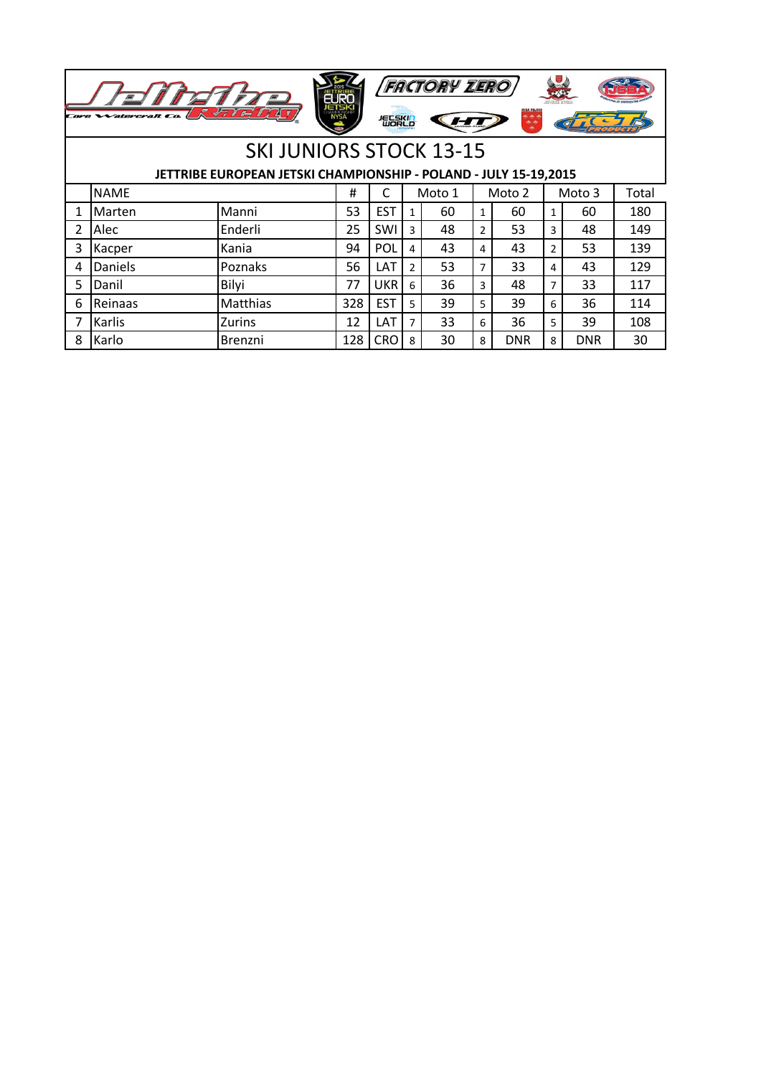|                | <b>FACTORY ZERO</b><br>7777<br>72 F<br><i>Catercraft Co</i><br><b>NYSA</b><br>短尾的 |                                                                  |     |            |               |        |                |            |    |            |       |  |
|----------------|-----------------------------------------------------------------------------------|------------------------------------------------------------------|-----|------------|---------------|--------|----------------|------------|----|------------|-------|--|
|                |                                                                                   | <b>SKI JUNIORS STOCK 13-15</b>                                   |     |            |               |        |                |            |    |            |       |  |
|                |                                                                                   | JETTRIBE EUROPEAN JETSKI CHAMPIONSHIP - POLAND - JULY 15-19,2015 |     |            |               |        |                |            |    |            |       |  |
|                | <b>NAME</b>                                                                       |                                                                  | #   | C          |               | Moto 1 |                | Moto 2     |    | Moto 3     | Total |  |
| 1              | Marten                                                                            | Manni                                                            | 53  | <b>EST</b> | 1             | 60     | 1              | 60         | 1  | 60         | 180   |  |
| $\overline{2}$ | Alec                                                                              | Enderli                                                          | 25  | SWI        | 3             | 48     | $\overline{2}$ | 53         | 3  | 48         | 149   |  |
| 3              | Kacper                                                                            | Kania                                                            | 94  | POL        | 4             | 43     | 4              | 43         | 2  | 53         | 139   |  |
| 4              | Daniels                                                                           | Poznaks                                                          | 56  | LAT        | $\mathcal{P}$ | 53     | 7              | 33         | 4  | 43         | 129   |  |
| 5              | Danil                                                                             | Bilyi                                                            | 77  | <b>UKR</b> | 6             | 36     | 3              | 48         | 7  | 33         | 117   |  |
| 6              | Reinaas                                                                           | Matthias                                                         | 328 | <b>EST</b> | 5.            | 39     | 5              | 39         | 6  | 36         | 114   |  |
| 7              | Karlis                                                                            | Zurins                                                           | 12  | LAT        | 7             | 33     | 6              | 36         | 5. | 39         | 108   |  |
| 8              | Karlo                                                                             | Brenzni                                                          | 128 | <b>CRO</b> | 8             | 30     | 8              | <b>DNR</b> | 8  | <b>DNR</b> | 30    |  |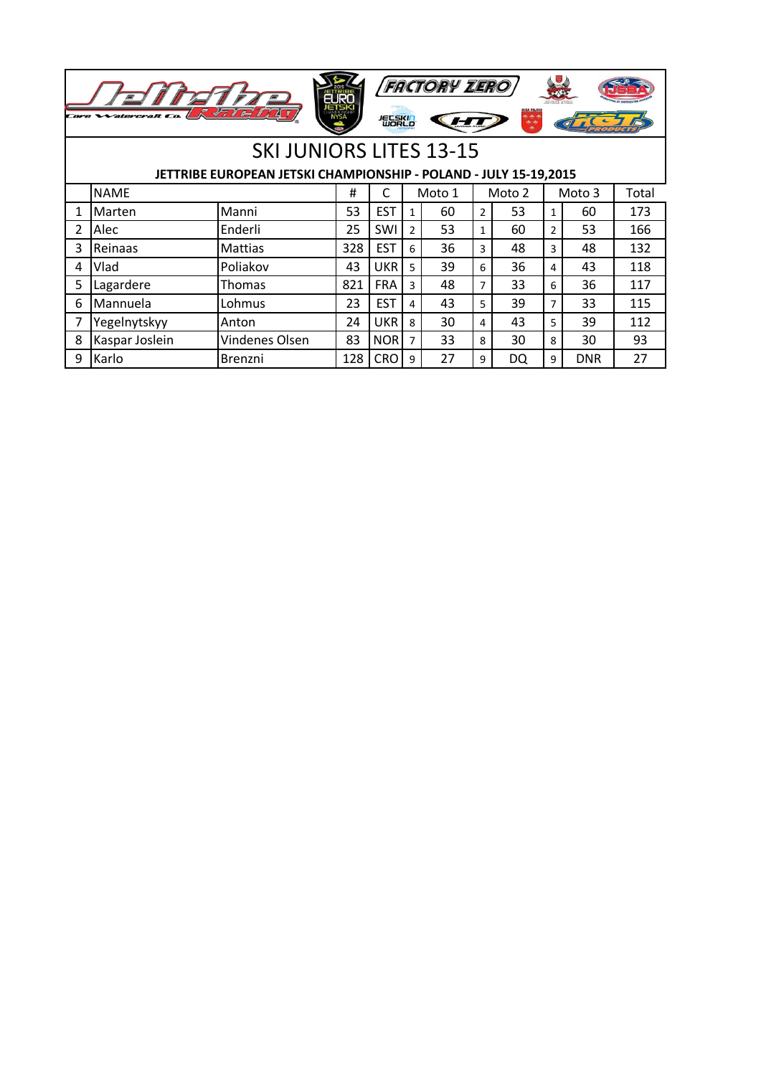|    | <b>FACTORY ZERO</b><br>$\sqrt{71717}$<br>NYSA POLANI<br>Core Watercraft Co.<br>短影的 |                                |     |            |                  |    |                |    |                |            |     |  |  |
|----|------------------------------------------------------------------------------------|--------------------------------|-----|------------|------------------|----|----------------|----|----------------|------------|-----|--|--|
|    |                                                                                    | <b>SKI JUNIORS LITES 13-15</b> |     |            |                  |    |                |    |                |            |     |  |  |
|    | JETTRIBE EUROPEAN JETSKI CHAMPIONSHIP - POLAND - JULY 15-19,2015                   |                                |     |            |                  |    |                |    |                |            |     |  |  |
|    | <b>NAME</b><br>C<br>Moto 1<br>Moto 2<br>Moto 3<br>Total<br>#                       |                                |     |            |                  |    |                |    |                |            |     |  |  |
| 1  | Marten                                                                             | Manni                          | 53  | <b>EST</b> | 1                | 60 | $\overline{2}$ | 53 | 1              | 60         | 173 |  |  |
| 2  | Alec                                                                               | Enderli                        | 25  | SWI        | $\overline{2}$   | 53 | $\mathbf{1}$   | 60 | $\overline{2}$ | 53         | 166 |  |  |
| 3  | Reinaas                                                                            | <b>Mattias</b>                 | 328 | <b>EST</b> | $6 \overline{6}$ | 36 | 3              | 48 | 3              | 48         | 132 |  |  |
| 4  | Vlad                                                                               | Poliakov                       | 43  | <b>UKR</b> | 5                | 39 | 6              | 36 | 4              | 43         | 118 |  |  |
| 5. | Lagardere                                                                          | Thomas                         | 821 | <b>FRA</b> | 3                | 48 | $\overline{7}$ | 33 | 6              | 36         | 117 |  |  |
| 6  | Mannuela                                                                           | Lohmus                         | 23  | <b>EST</b> | 4                | 43 | 5              | 39 | 7              | 33         | 115 |  |  |
| 7  | Yegelnytskyy                                                                       | Anton                          | 24  | <b>UKR</b> | 8                | 30 | 4              | 43 | 5              | 39         | 112 |  |  |
| 8  | Kaspar Joslein                                                                     | Vindenes Olsen                 | 83  | <b>NOR</b> | $\overline{7}$   | 33 | 8              | 30 | 8              | 30         | 93  |  |  |
| 9  | Karlo                                                                              | Brenzni                        | 128 | <b>CRO</b> | 9                | 27 | 9              | DQ | 9              | <b>DNR</b> | 27  |  |  |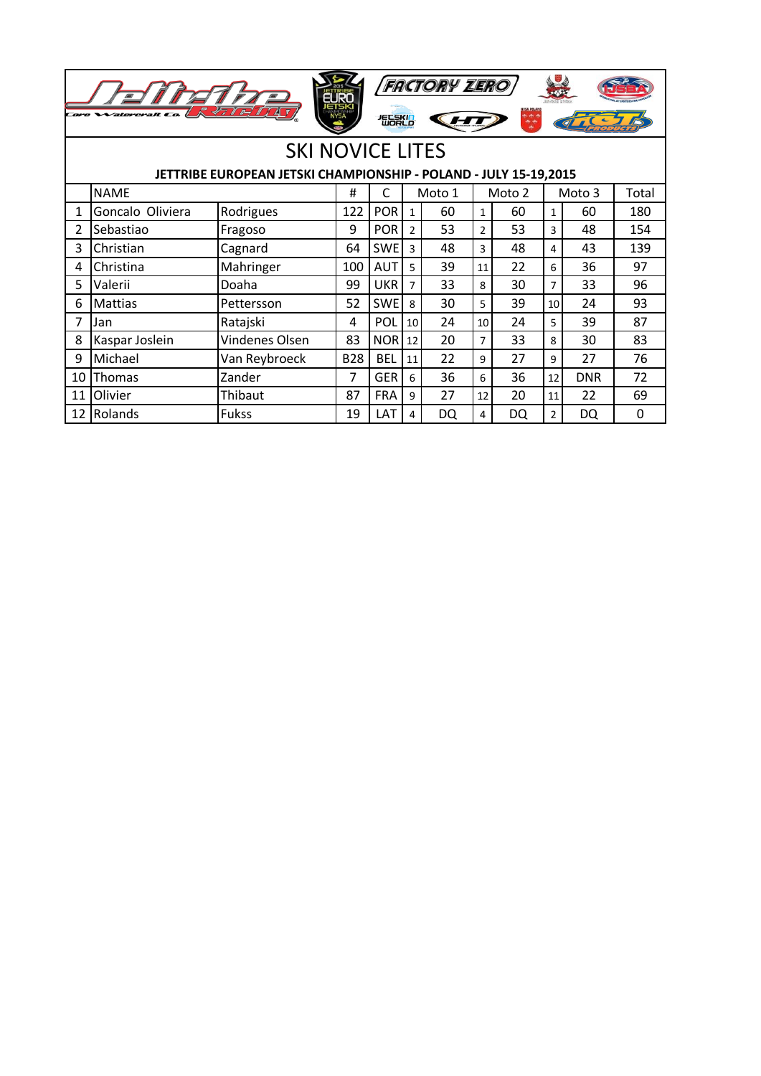|              | Core Walercraft Co. | 47 1                                                             | <b>NYSA</b> | 短影的        |                | <b>FACTORY ZERO</b> |                | $+ +$  |                |            |             |
|--------------|---------------------|------------------------------------------------------------------|-------------|------------|----------------|---------------------|----------------|--------|----------------|------------|-------------|
|              |                     | <b>SKI NOVICE LITES</b>                                          |             |            |                |                     |                |        |                |            |             |
|              |                     | JETTRIBE EUROPEAN JETSKI CHAMPIONSHIP - POLAND - JULY 15-19,2015 |             |            |                |                     |                |        |                |            |             |
|              | <b>NAME</b>         |                                                                  | #           | C          |                | Moto 1              |                | Moto 2 |                | Moto 3     | Total       |
| $\mathbf{1}$ | Goncalo Oliviera    | Rodrigues                                                        | 122         | <b>POR</b> | $\mathbf{1}$   | 60                  | $\mathbf{1}$   | 60     | $\mathbf{1}$   | 60         | 180         |
| 2            | Sebastiao           | Fragoso                                                          | 9           | <b>POR</b> | $\overline{2}$ | 53                  | 2              | 53     | 3              | 48         | 154         |
| 3            | Christian           | Cagnard                                                          | 64          | <b>SWE</b> | 3              | 48                  | 3              | 48     | 4              | 43         | 139         |
| 4            | Christina           | Mahringer                                                        | 100         | <b>AUT</b> | 5              | 39                  | 11             | 22     | 6              | 36         | 97          |
| 5            | Valerii             | Doaha                                                            | 99          | <b>UKR</b> | $\overline{7}$ | 33                  | 8              | 30     | $\overline{7}$ | 33         | 96          |
| 6            | <b>Mattias</b>      | Pettersson                                                       | 52          | <b>SWE</b> | 8              | 30                  | 5              | 39     | 10             | 24         | 93          |
| 7            | Jan                 | Ratajski                                                         | 4           | POL        | 10             | 24                  | 10             | 24     | 5              | 39         | 87          |
| 8            | Kaspar Joslein      | Vindenes Olsen                                                   | 83          | <b>NOR</b> | 12             | 20                  | $\overline{7}$ | 33     | 8              | 30         | 83          |
| 9            | Michael             | Van Reybroeck                                                    | <b>B28</b>  | <b>BEL</b> | 11             | 22                  | 9              | 27     | 9              | 27         | 76          |
| 10           | <b>Thomas</b>       | Zander                                                           | 7           | <b>GER</b> | 6              | 36                  | 6              | 36     | 12             | <b>DNR</b> | 72          |
| 11           | Olivier             | Thibaut                                                          | 87          | <b>FRA</b> | $\mathbf{q}$   | 27                  | 12             | 20     | 11             | 22         | 69          |
| 12           | Rolands             | <b>Fukss</b>                                                     | 19          | LAT        | 4              | DQ                  | 4              | DQ     | 2              | DQ         | $\mathbf 0$ |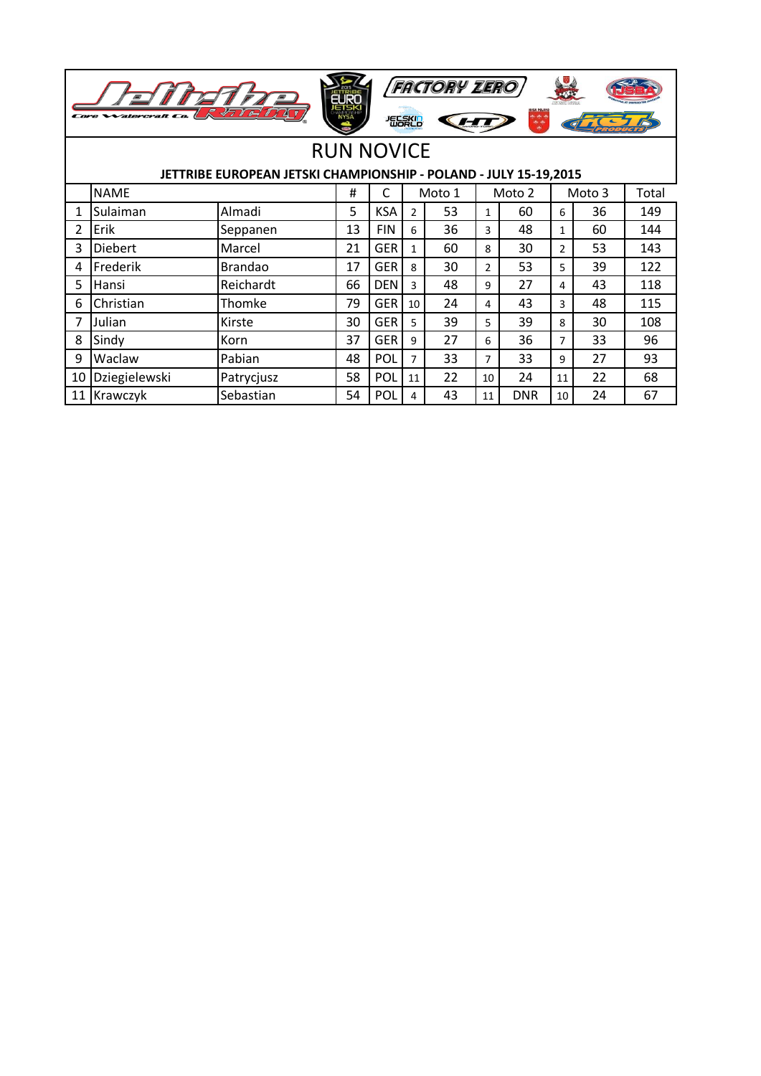| <b>FACTORY ZERO</b><br><b>ETSK</b><br>NYSA<br>47 1<br><b>Watercraft</b> C<br>短尾的 |                                                                  |                |    |            |                 |        |              |            |                |        |       |  |
|----------------------------------------------------------------------------------|------------------------------------------------------------------|----------------|----|------------|-----------------|--------|--------------|------------|----------------|--------|-------|--|
|                                                                                  | <b>RUN NOVICE</b>                                                |                |    |            |                 |        |              |            |                |        |       |  |
|                                                                                  | JETTRIBE EUROPEAN JETSKI CHAMPIONSHIP - POLAND - JULY 15-19,2015 |                |    |            |                 |        |              |            |                |        |       |  |
|                                                                                  | <b>NAME</b>                                                      |                | #  | C          |                 | Moto 1 |              | Moto 2     |                | Moto 3 | Total |  |
| 1                                                                                | Sulaiman                                                         | Almadi         | 5  | <b>KSA</b> | $\mathcal{P}$   | 53     | $\mathbf{1}$ | 60         | 6              | 36     | 149   |  |
| 2                                                                                | Erik                                                             | Seppanen       | 13 | <b>FIN</b> | 6               | 36     | 3            | 48         | $\mathbf{1}$   | 60     | 144   |  |
| 3                                                                                | <b>Diebert</b>                                                   | Marcel         | 21 | <b>GER</b> | 1               | 60     | 8            | 30         | $\overline{2}$ | 53     | 143   |  |
| 4                                                                                | Frederik                                                         | <b>Brandao</b> | 17 | <b>GER</b> | 8               | 30     | 2            | 53         | 5              | 39     | 122   |  |
| 5                                                                                | Hansi                                                            | Reichardt      | 66 | <b>DEN</b> | 3               | 48     | 9            | 27         | 4              | 43     | 118   |  |
| 6                                                                                | Christian                                                        | Thomke         | 79 | <b>GER</b> | 10 <sup>1</sup> | 24     | 4            | 43         | 3              | 48     | 115   |  |
| 7                                                                                | Julian                                                           | Kirste         | 30 | <b>GER</b> | 5               | 39     | 5            | 39         | 8              | 30     | 108   |  |
| 8                                                                                | Sindy                                                            | Korn           | 37 | <b>GER</b> | 9               | 27     | 6            | 36         | $\overline{7}$ | 33     | 96    |  |
| 9                                                                                | Waclaw                                                           | Pabian         | 48 | POL        | 7               | 33     | 7            | 33         | 9              | 27     | 93    |  |
| 10                                                                               | Dziegielewski                                                    | Patrycjusz     | 58 | POL        | 11              | 22     | 10           | 24         | 11             | 22     | 68    |  |
| 11                                                                               | Krawczyk                                                         | Sebastian      | 54 | POL        | 4               | 43     | 11           | <b>DNR</b> | 10             | 24     | 67    |  |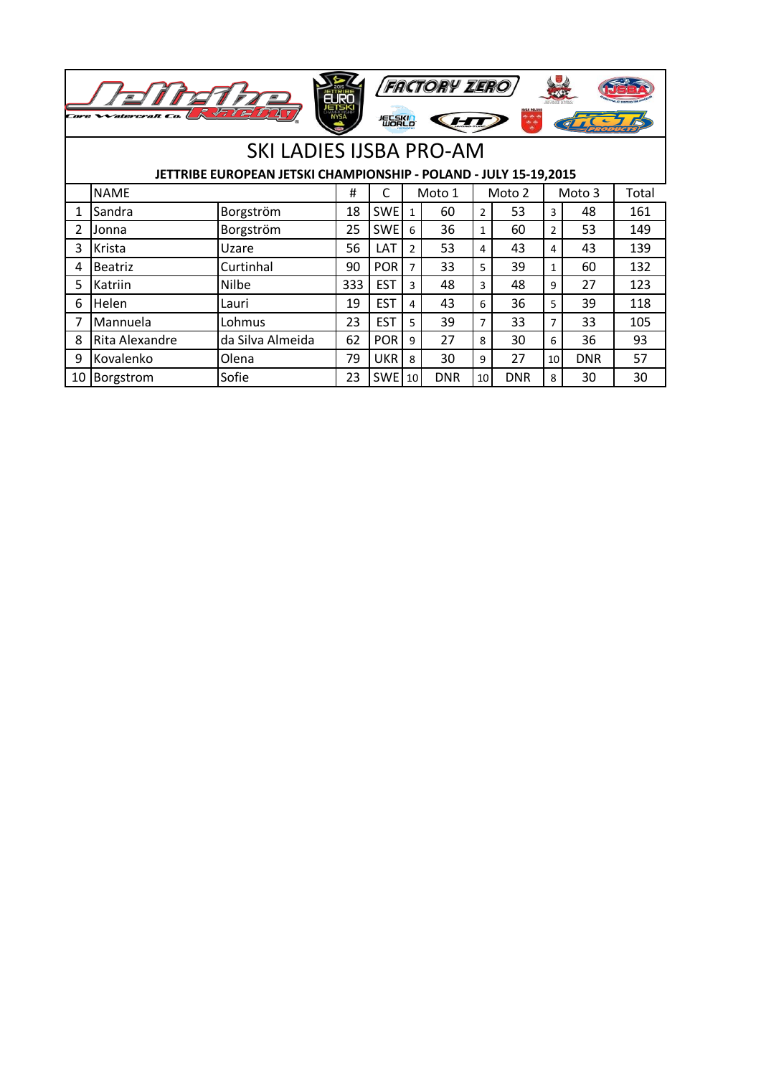|   | <b>FACTORY ZERO</b><br><b>NYSA POLAN</b><br>4710<br><b>NYSA</b><br>短影的 |                                |     |            |                 |            |                |            |                 |            |       |  |  |
|---|------------------------------------------------------------------------|--------------------------------|-----|------------|-----------------|------------|----------------|------------|-----------------|------------|-------|--|--|
|   |                                                                        | <b>SKI LADIES IJSBA PRO-AM</b> |     |            |                 |            |                |            |                 |            |       |  |  |
|   | JETTRIBE EUROPEAN JETSKI CHAMPIONSHIP - POLAND - JULY 15-19,2015       |                                |     |            |                 |            |                |            |                 |            |       |  |  |
|   | <b>NAME</b>                                                            |                                | #   | C          |                 | Moto 1     |                | Moto 2     |                 | Moto 3     | Total |  |  |
| 1 | Sandra                                                                 | Borgström                      | 18  | <b>SWE</b> | $\mathbf{1}$    | 60         | $\overline{2}$ | 53         | 3               | 48         | 161   |  |  |
| 2 | Jonna                                                                  | Borgström                      | 25  | <b>SWE</b> | 6               | 36         | $\mathbf{1}$   | 60         | 2               | 53         | 149   |  |  |
| 3 | Krista                                                                 | Uzare                          | 56  | LAT        | $\overline{2}$  | 53         | 4              | 43         | 4               | 43         | 139   |  |  |
| 4 | <b>Beatriz</b>                                                         | Curtinhal                      | 90  | <b>POR</b> | $\overline{7}$  | 33         | 5              | 39         | 1               | 60         | 132   |  |  |
| 5 | Katriin                                                                | <b>Nilbe</b>                   | 333 | <b>EST</b> | 3               | 48         | 3              | 48         | 9               | 27         | 123   |  |  |
| 6 | Helen                                                                  | Lauri                          | 19  | <b>EST</b> | 4               | 43         | 6              | 36         | 5.              | 39         | 118   |  |  |
| 7 | Mannuela                                                               | Lohmus                         | 23  | <b>EST</b> | 5               | 39         | 7              | 33         | 7               | 33         | 105   |  |  |
| 8 | Rita Alexandre                                                         | da Silva Almeida               | 62  | <b>POR</b> | 9               | 27         | 8              | 30         | 6               | 36         | 93    |  |  |
| 9 | Kovalenko                                                              | Olena                          | 79  | <b>UKR</b> | 8               | 30         | 9              | 27         | 10 <sup>1</sup> | <b>DNR</b> | 57    |  |  |
|   | 10 Borgstrom                                                           | Sofie                          | 23  | <b>SWE</b> | 10 <sup>1</sup> | <b>DNR</b> | 10             | <b>DNR</b> | 8               | 30         | 30    |  |  |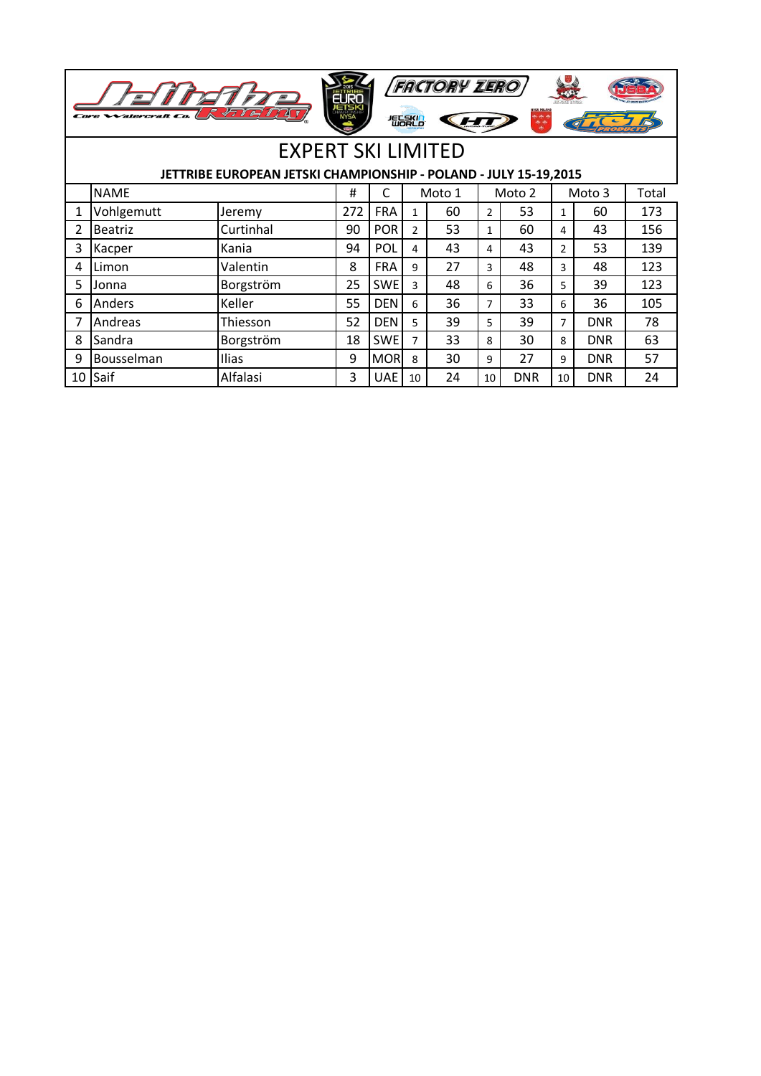|    | <b>FACTORY ZERO</b><br>$\mathcal{E}$<br>7714<br><b>Watercraft</b> Co.<br><b>NYSA</b><br>短影的 |                                                                  |     |            |               |        |                |            |                |            |       |  |
|----|---------------------------------------------------------------------------------------------|------------------------------------------------------------------|-----|------------|---------------|--------|----------------|------------|----------------|------------|-------|--|
|    | <b>EXPERT SKI LIMITED</b>                                                                   |                                                                  |     |            |               |        |                |            |                |            |       |  |
|    |                                                                                             | JETTRIBE EUROPEAN JETSKI CHAMPIONSHIP - POLAND - JULY 15-19,2015 |     |            |               |        |                |            |                |            |       |  |
|    | <b>NAME</b>                                                                                 |                                                                  | #   | C          |               | Moto 1 |                | Moto 2     |                | Moto 3     | Total |  |
| 1  | Vohlgemutt                                                                                  | Jeremy                                                           | 272 | <b>FRA</b> | 1             | 60     | $\overline{2}$ | 53         | $\mathbf{1}$   | 60         | 173   |  |
| 2  | <b>Beatriz</b>                                                                              | Curtinhal                                                        | 90  | <b>POR</b> | $\mathcal{P}$ | 53     | $\mathbf{1}$   | 60         | 4              | 43         | 156   |  |
| 3  | Kacper                                                                                      | Kania                                                            | 94  | POL        | 4             | 43     | 4              | 43         | $\overline{2}$ | 53         | 139   |  |
| 4  | Limon                                                                                       | Valentin                                                         | 8   | <b>FRA</b> | 9             | 27     | 3              | 48         | 3              | 48         | 123   |  |
| 5  | Jonna                                                                                       | Borgström                                                        | 25  | <b>SWE</b> | $\mathbf{a}$  | 48     | 6              | 36         | 5              | 39         | 123   |  |
| 6  | Anders                                                                                      | Keller                                                           | 55  | <b>DEN</b> | 6             | 36     | $\overline{7}$ | 33         | 6              | 36         | 105   |  |
| 7  | Andreas                                                                                     | Thiesson                                                         | 52  | <b>DEN</b> | 5             | 39     | 5              | 39         | $\overline{7}$ | <b>DNR</b> | 78    |  |
| 8  | Sandra                                                                                      | Borgström                                                        | 18  | <b>SWE</b> | 7             | 33     | 8              | 30         | 8              | <b>DNR</b> | 63    |  |
| 9  | Bousselman                                                                                  | Ilias                                                            | 9   | <b>MOR</b> | 8             | 30     | 9              | 27         | 9              | <b>DNR</b> | 57    |  |
| 10 | Saif                                                                                        | Alfalasi                                                         | 3   | <b>UAE</b> | 10            | 24     | 10             | <b>DNR</b> | 10             | <b>DNR</b> | 24    |  |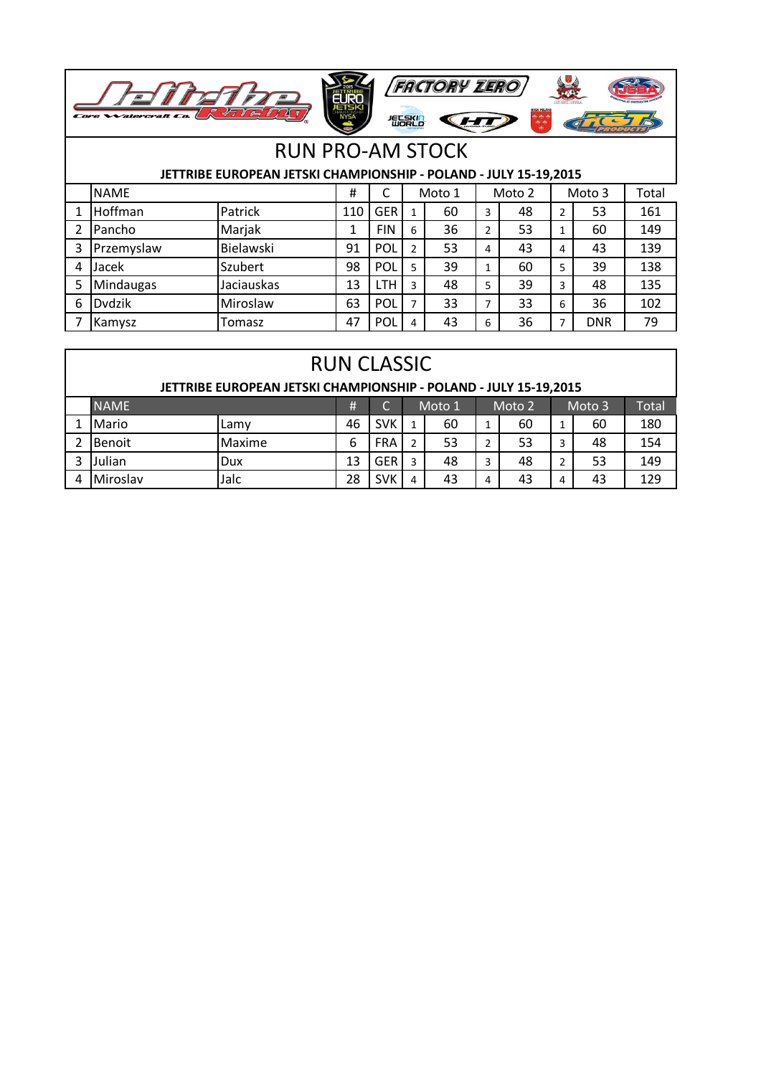

## RUN PRO-AM STOCK

## **JETTRIBE EUROPEAN JETSKI CHAMPIONSHIP - POLAND - JULY 15-19,2015**

|   | <b>NAME</b>   |            |     |            | Moto 1         |    |   | Moto 2 |                | Moto 3     | Total |
|---|---------------|------------|-----|------------|----------------|----|---|--------|----------------|------------|-------|
|   | Hoffman       | Patrick    | 110 | <b>GER</b> |                | 60 | 3 | 48     | $\overline{2}$ | 53         | 161   |
|   | Pancho        | Marjak     |     | <b>FIN</b> | 6              | 36 | 2 | 53     |                | 60         | 149   |
| 3 | Przemyslaw    | Bielawski  | 91  | <b>POL</b> | 2              | 53 | 4 | 43     | 4              | 43         | 139   |
| 4 | Jacek         | Szubert    | 98  | <b>POL</b> | 5              | 39 |   | 60     | 5              | 39         | 138   |
| 5 | Mindaugas     | Jaciauskas | 13  | $LTH^+$    | 3              | 48 | 5 | 39     | 3              | 48         | 135   |
| 6 | <b>Dydzik</b> | Miroslaw   | 63  | <b>POL</b> | $\overline{ }$ | 33 | ⇁ | 33     | 6              | 36         | 102   |
|   | Kamysz        | Tomasz     | 47  | <b>POL</b> | 4              | 43 | 6 | 36     | ⇁              | <b>DNR</b> | 79    |

| <b>RUN CLASSIC</b>                                               |        |    |            |   |        |   |        |   |        |       |  |  |  |
|------------------------------------------------------------------|--------|----|------------|---|--------|---|--------|---|--------|-------|--|--|--|
| JETTRIBE EUROPEAN JETSKI CHAMPIONSHIP - POLAND - JULY 15-19,2015 |        |    |            |   |        |   |        |   |        |       |  |  |  |
| <b>NAME</b>                                                      |        | #  |            |   | Moto 1 |   | Moto 2 |   | Moto 3 | Total |  |  |  |
| Mario                                                            | Lamv   | 46 | SVK        |   | 60     |   | 60     |   | 60     | 180   |  |  |  |
| <b>Benoit</b>                                                    | Maxime | 6  | <b>FRA</b> |   | 53     |   | 53     | 3 | 48     | 154   |  |  |  |
| Julian                                                           | Dux    | 13 | <b>GER</b> |   | 48     |   | 48     |   | 53     | 149   |  |  |  |
| <b>I</b> Miroslav                                                | Jalc   | 28 | SVK        | 4 | 43     | 4 | 43     | 4 | 43     | 129   |  |  |  |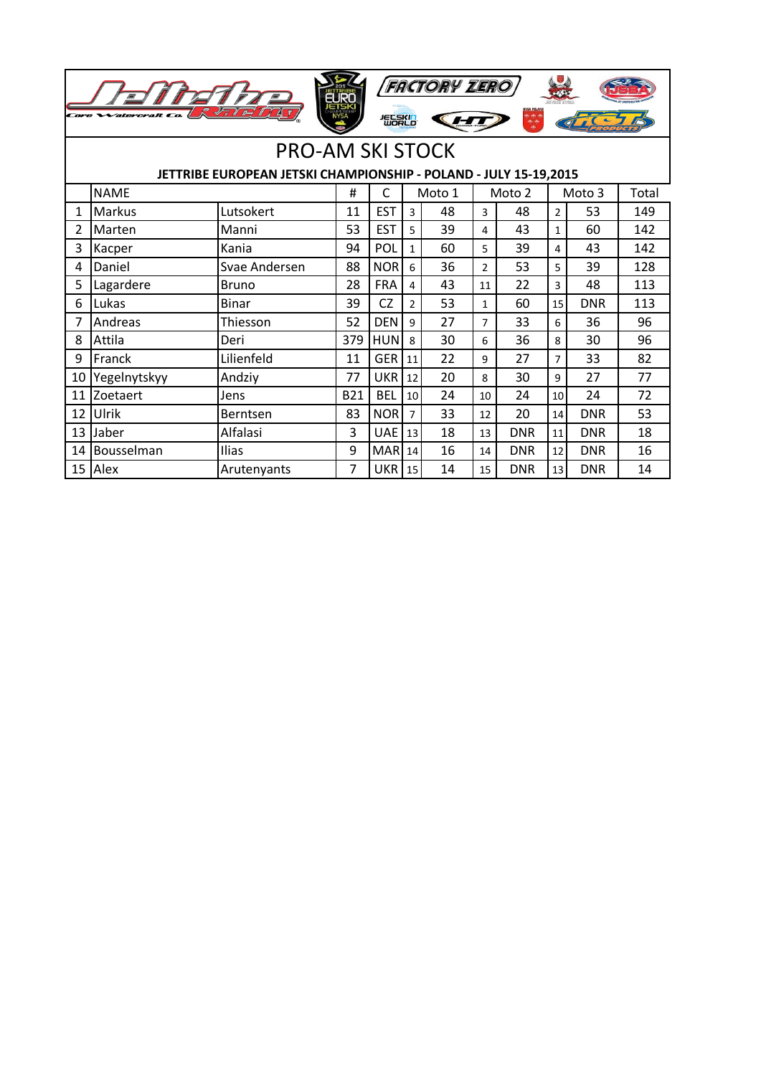| <b>FACTORY ZERO</b><br>Core Watercraft<br>想起来 |                                                                  |               |            |            |                |        |                |            |                |            |       |  |  |  |
|-----------------------------------------------|------------------------------------------------------------------|---------------|------------|------------|----------------|--------|----------------|------------|----------------|------------|-------|--|--|--|
|                                               | <b>PRO-AM SKI STOCK</b>                                          |               |            |            |                |        |                |            |                |            |       |  |  |  |
|                                               | JETTRIBE EUROPEAN JETSKI CHAMPIONSHIP - POLAND - JULY 15-19,2015 |               |            |            |                |        |                |            |                |            |       |  |  |  |
|                                               | <b>NAME</b>                                                      |               | #          | C          |                | Moto 1 |                | Moto 2     |                | Moto 3     | Total |  |  |  |
| $\mathbf{1}$                                  | <b>Markus</b>                                                    | Lutsokert     | 11         | <b>EST</b> | 3              | 48     | 3              | 48         | $\overline{2}$ | 53         | 149   |  |  |  |
| 2                                             | Marten                                                           | Manni         | 53         | <b>EST</b> | 5              | 39     | 4              | 43         | $\mathbf{1}$   | 60         | 142   |  |  |  |
| 3                                             | Kacper                                                           | Kania         | 94         | POL        | $\mathbf{1}$   | 60     | 5              | 39         | 4              | 43         | 142   |  |  |  |
| 4                                             | Daniel                                                           | Svae Andersen | 88         | <b>NOR</b> | 6              | 36     | $\overline{2}$ | 53         | 5              | 39         | 128   |  |  |  |
| 5                                             | Lagardere                                                        | <b>Bruno</b>  | 28         | <b>FRA</b> | 4              | 43     | 11             | 22         | $\overline{3}$ | 48         | 113   |  |  |  |
| 6                                             | Lukas                                                            | <b>Binar</b>  | 39         | <b>CZ</b>  | $\overline{2}$ | 53     | $\mathbf{1}$   | 60         | 15             | <b>DNR</b> | 113   |  |  |  |
| 7                                             | Andreas                                                          | Thiesson      | 52         | <b>DEN</b> | $\mathsf{q}$   | 27     | $\overline{7}$ | 33         | 6              | 36         | 96    |  |  |  |
| 8                                             | Attila                                                           | Deri          | 379        | <b>HUN</b> | 8              | 30     | 6              | 36         | 8              | 30         | 96    |  |  |  |
| 9                                             | Franck                                                           | Lilienfeld    | 11         | <b>GER</b> | 11             | 22     | 9              | 27         | $\overline{7}$ | 33         | 82    |  |  |  |
| 10                                            | Yegelnytskyy                                                     | Andziy        | 77         | <b>UKR</b> | 12             | 20     | 8              | 30         | 9              | 27         | 77    |  |  |  |
| 11                                            | Zoetaert                                                         | Jens          | <b>B21</b> | <b>BEL</b> | 10             | 24     | 10             | 24         | 10             | 24         | 72    |  |  |  |
| 12                                            | Ulrik                                                            | Berntsen      | 83         | <b>NOR</b> | $\overline{7}$ | 33     | 12             | 20         | 14             | <b>DNR</b> | 53    |  |  |  |
| 13                                            | Jaber                                                            | Alfalasi      | 3          | <b>UAE</b> | 13             | 18     | 13             | <b>DNR</b> | 11             | <b>DNR</b> | 18    |  |  |  |
| 14                                            | Bousselman                                                       | Ilias         | 9          | <b>MAR</b> | 14             | 16     | 14             | <b>DNR</b> | 12             | <b>DNR</b> | 16    |  |  |  |
|                                               | 15 Alex                                                          | Arutenyants   | 7          | <b>UKR</b> | 15             | 14     | 15             | <b>DNR</b> | 13             | <b>DNR</b> | 14    |  |  |  |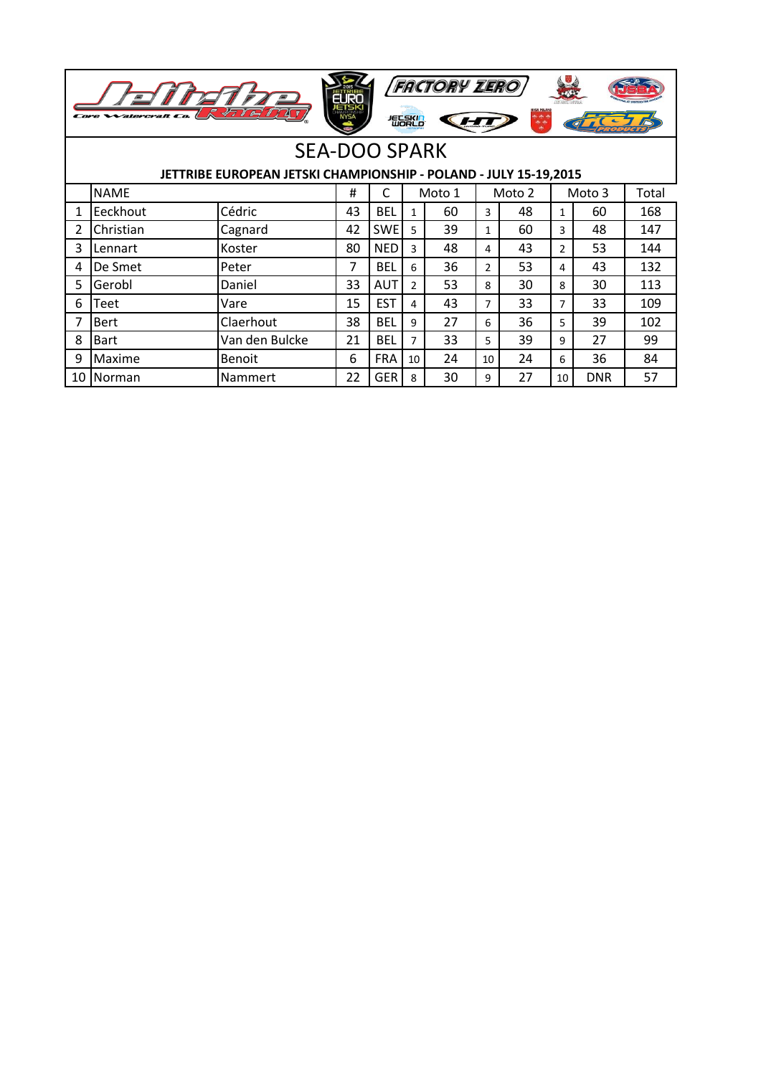|    | <b>FACTORY ZERO</b><br>NYSA POLANI<br>$\overline{\smash{\bigtriangledown}}$<br>短尾的 |                |    |            |                |        |                |        |                |            |       |  |  |
|----|------------------------------------------------------------------------------------|----------------|----|------------|----------------|--------|----------------|--------|----------------|------------|-------|--|--|
|    | <b>SEA-DOO SPARK</b>                                                               |                |    |            |                |        |                |        |                |            |       |  |  |
|    | JETTRIBE EUROPEAN JETSKI CHAMPIONSHIP - POLAND - JULY 15-19,2015                   |                |    |            |                |        |                |        |                |            |       |  |  |
|    | <b>NAME</b>                                                                        |                | #  | C          |                | Moto 1 |                | Moto 2 |                | Moto 3     | Total |  |  |
| 1  | Eeckhout                                                                           | Cédric         | 43 | <b>BEL</b> | 1              | 60     | 3              | 48     | $\mathbf{1}$   | 60         | 168   |  |  |
| 2  | Christian                                                                          | Cagnard        | 42 | <b>SWE</b> | 5              | 39     | 1              | 60     | 3              | 48         | 147   |  |  |
| 3  | Lennart                                                                            | Koster         | 80 | <b>NED</b> | 3              | 48     | 4              | 43     | $\overline{2}$ | 53         | 144   |  |  |
| 4  | De Smet                                                                            | Peter          | 7  | <b>BEL</b> | 6              | 36     | $\overline{2}$ | 53     | 4              | 43         | 132   |  |  |
| 5  | Gerobl                                                                             | Daniel         | 33 | <b>AUT</b> | $\overline{2}$ | 53     | 8              | 30     | 8              | 30         | 113   |  |  |
| 6  | Teet                                                                               | Vare           | 15 | <b>EST</b> | 4              | 43     | $\overline{7}$ | 33     | $\overline{7}$ | 33         | 109   |  |  |
| 7  | <b>Bert</b>                                                                        | Claerhout      | 38 | <b>BEL</b> | 9              | 27     | 6              | 36     | 5              | 39         | 102   |  |  |
| 8  | <b>Bart</b>                                                                        | Van den Bulcke | 21 | <b>BEL</b> | 7              | 33     | 5              | 39     | 9              | 27         | 99    |  |  |
| 9  | Maxime                                                                             | <b>Benoit</b>  | 6  | <b>FRA</b> | 10             | 24     | 10             | 24     | 6              | 36         | 84    |  |  |
| 10 | Norman                                                                             | Nammert        | 22 | <b>GER</b> | 8              | 30     | 9              | 27     | 10             | <b>DNR</b> | 57    |  |  |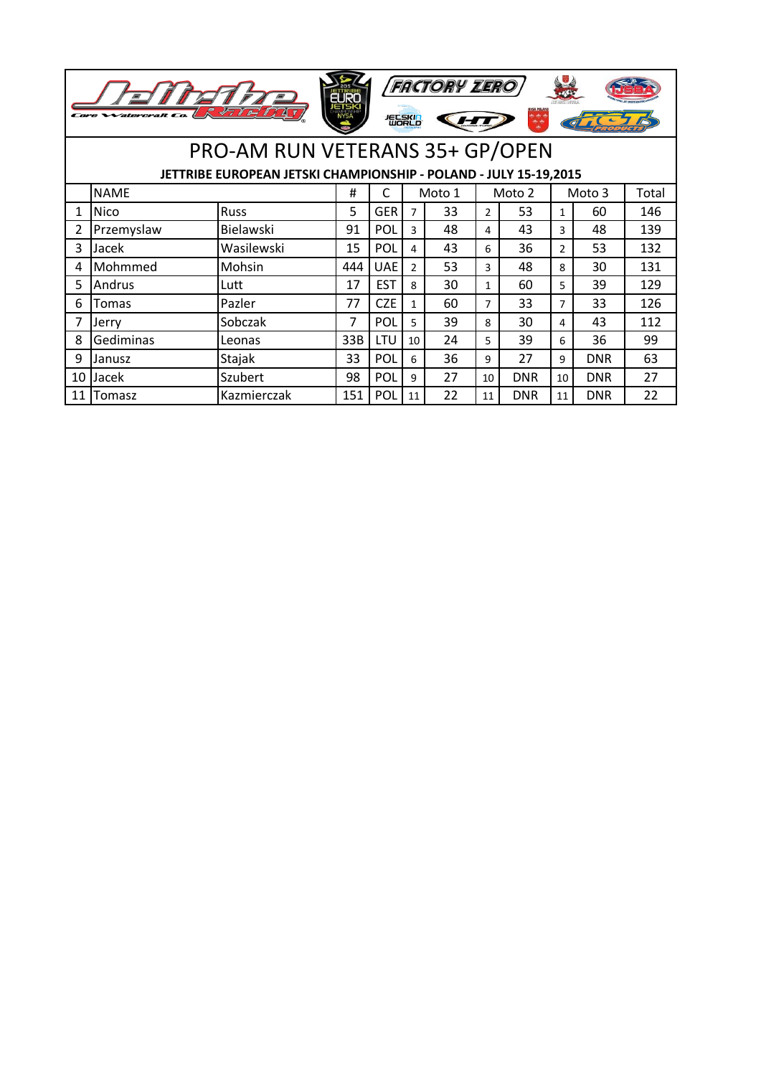|                                                     | <b>Watercraft</b> | 47 1<br>$\boldsymbol{\varphi}$                                   | ETSK<br>NYSA |            | 短影的            | <b>FACTORY ZERO</b> |                | ر جو بو<br>چونج |                |            |     |
|-----------------------------------------------------|-------------------|------------------------------------------------------------------|--------------|------------|----------------|---------------------|----------------|-----------------|----------------|------------|-----|
|                                                     |                   | PRO-AM RUN VETERANS 35+ GP/OPEN                                  |              |            |                |                     |                |                 |                |            |     |
|                                                     |                   | JETTRIBE EUROPEAN JETSKI CHAMPIONSHIP - POLAND - JULY 15-19,2015 |              |            |                |                     |                |                 |                |            |     |
| <b>NAME</b><br>C<br>#<br>Moto 2<br>Moto 1<br>Moto 3 |                   |                                                                  |              |            |                |                     |                |                 |                | Total      |     |
| 1                                                   | Nico              | Russ                                                             | 5            | <b>GER</b> | $\overline{7}$ | 33                  | $\mathcal{P}$  | 53              | $\mathbf{1}$   | 60         | 146 |
| $\overline{2}$                                      | Przemyslaw        | Bielawski                                                        | 91           | POL        | 3              | 48                  | 4              | 43              | 3              | 48         | 139 |
| 3                                                   | Jacek             | Wasilewski                                                       | 15           | POL        | 4              | 43                  | 6              | 36              | $\overline{2}$ | 53         | 132 |
| 4                                                   | Mohmmed           | Mohsin                                                           | 444          | <b>UAE</b> | $\mathcal{P}$  | 53                  | 3              | 48              | 8              | 30         | 131 |
| 5                                                   | Andrus            | Lutt                                                             | 17           | <b>EST</b> | 8              | 30                  | $\mathbf{1}$   | 60              | 5              | 39         | 129 |
| 6                                                   | <b>Tomas</b>      | Pazler                                                           | 77           | <b>CZE</b> | 1              | 60                  | $\overline{7}$ | 33              | $\overline{7}$ | 33         | 126 |
|                                                     | Jerry             | Sobczak                                                          | 7            | POL        | 5              | 39                  | 8              | 30              | 4              | 43         | 112 |
| 8                                                   | Gediminas         | Leonas                                                           | 33B          | LTU        | 10             | 24                  | 5              | 39              | 6              | 36         | 99  |
| 9                                                   | Janusz            | Stajak                                                           | 33           | POL        | 6              | 36                  | 9              | 27              | 9              | <b>DNR</b> | 63  |
| 10                                                  | Jacek             | Szubert                                                          | 98           | POL        | 9              | 27                  | 10             | <b>DNR</b>      | 10             | <b>DNR</b> | 27  |
| 11                                                  | Tomasz            | Kazmierczak                                                      | 151          | POL        | 11             | 22                  | 11             | <b>DNR</b>      | 11             | <b>DNR</b> | 22  |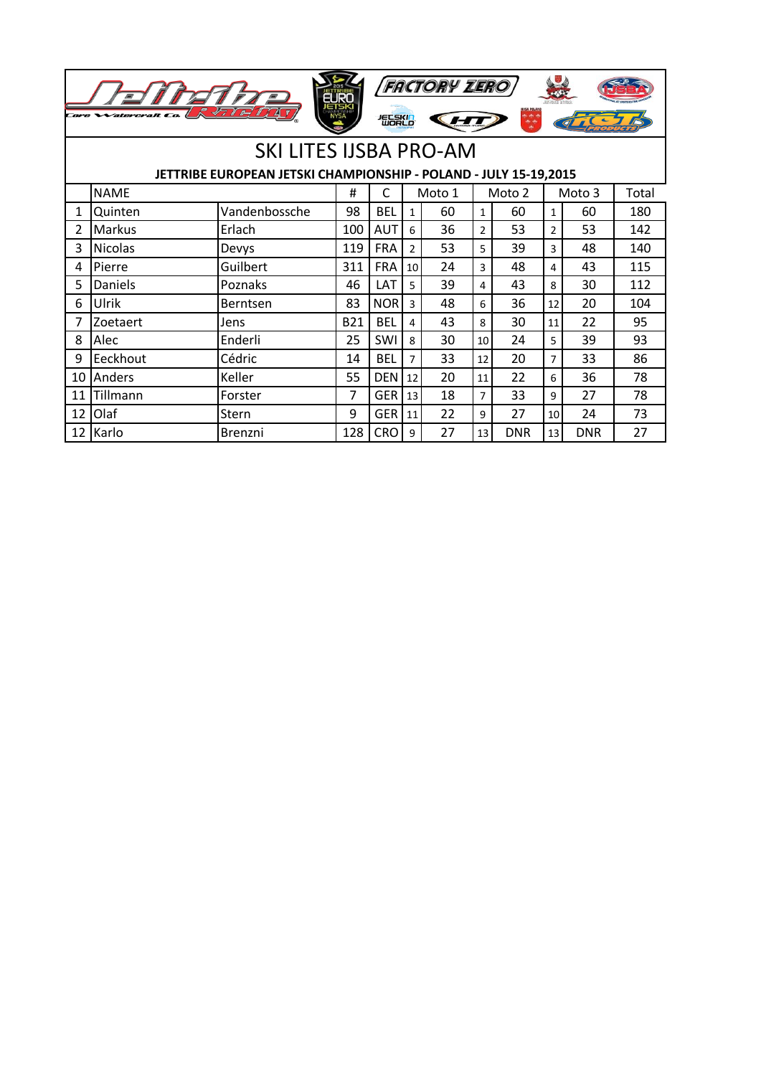|    |                |                                                                  | <b>Tien</b> |            |                | <b>FACTORY ZERO</b> |                |                         |                |            |       |
|----|----------------|------------------------------------------------------------------|-------------|------------|----------------|---------------------|----------------|-------------------------|----------------|------------|-------|
|    |                | 2712                                                             | <b>NYSA</b> | 短尾的        |                |                     |                | <b>IYSA POLAND</b><br>轉 |                |            |       |
|    |                | <b>SKI LITES IJSBA PRO-AM</b>                                    |             |            |                |                     |                |                         |                |            |       |
|    |                | JETTRIBE EUROPEAN JETSKI CHAMPIONSHIP - POLAND - JULY 15-19,2015 |             |            |                |                     |                |                         |                |            |       |
|    | <b>NAME</b>    |                                                                  | #           | C          |                | Moto 1              |                | Moto 2                  |                | Moto 3     | Total |
| 1  | Quinten        | Vandenbossche                                                    | 98          | <b>BEL</b> | $\mathbf{1}$   | 60                  | 1              | 60                      | $\mathbf{1}$   | 60         | 180   |
| 2  | Markus         | Erlach                                                           | 100         | <b>AUT</b> | 6              | 36                  | $\overline{2}$ | 53                      | $\overline{2}$ | 53         | 142   |
| 3  | <b>Nicolas</b> | Devys                                                            | 119         | <b>FRA</b> | $\overline{2}$ | 53                  | 5              | 39                      | 3              | 48         | 140   |
| 4  | Pierre         | Guilbert                                                         | 311         | <b>FRA</b> | 10             | 24                  | 3              | 48                      | 4              | 43         | 115   |
| 5  | <b>Daniels</b> | Poznaks                                                          | 46          | LAT        | 5              | 39                  | 4              | 43                      | 8              | 30         | 112   |
| 6  | Ulrik          | Berntsen                                                         | 83          | <b>NOR</b> | 3              | 48                  | 6              | 36                      | 12             | 20         | 104   |
| 7  | Zoetaert       | Jens                                                             | <b>B21</b>  | <b>BEL</b> | 4              | 43                  | 8              | 30                      | 11             | 22         | 95    |
| 8  | Alec           | Enderli                                                          | 25          | SWI        | 8              | 30                  | 10             | 24                      | 5              | 39         | 93    |
| 9  | Eeckhout       | Cédric                                                           | 14          | <b>BEL</b> | 7              | 33                  | 12             | 20                      | $\overline{7}$ | 33         | 86    |
| 10 | Anders         | Keller                                                           | 55          | <b>DEN</b> | 12             | 20                  | 11             | 22                      | 6              | 36         | 78    |
| 11 | Tillmann       | Forster                                                          | 7           | <b>GER</b> | 13             | 18                  | $\overline{7}$ | 33                      | 9              | 27         | 78    |
| 12 | Olaf           | Stern                                                            | 9           | <b>GER</b> | 11             | 22                  | 9              | 27                      | 10             | 24         | 73    |
| 12 | Karlo          | Brenzni                                                          | 128         | <b>CRO</b> | 9              | 27                  | 13             | <b>DNR</b>              | 13             | <b>DNR</b> | 27    |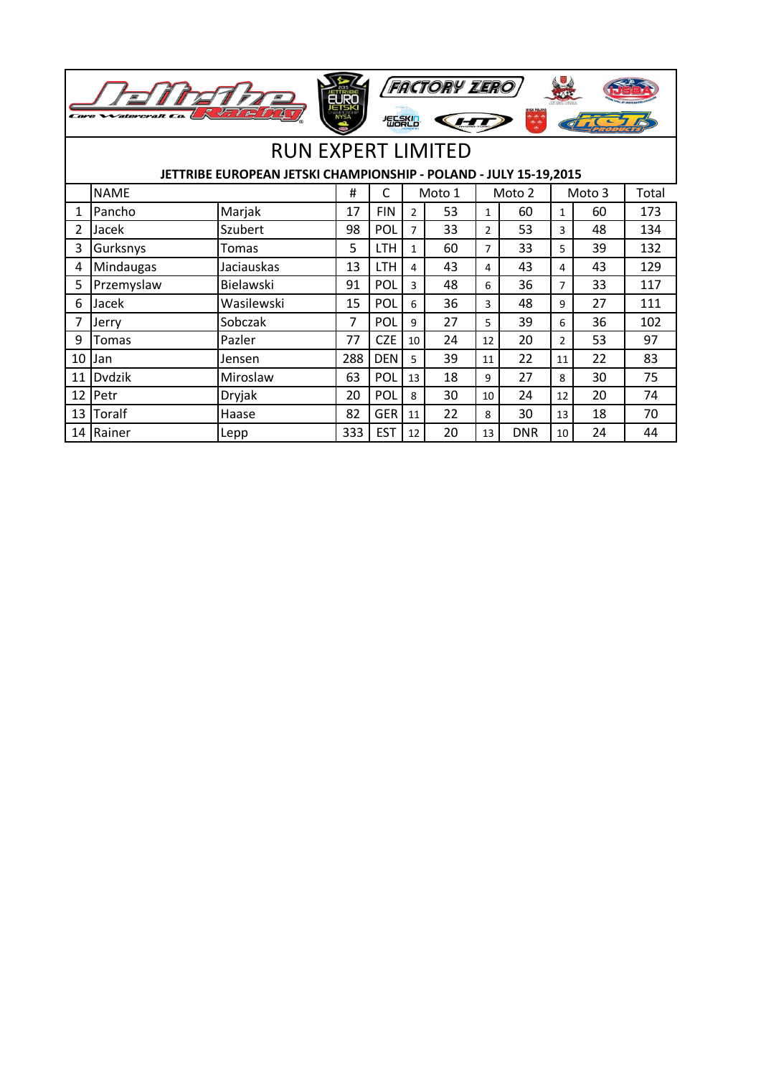|                | <i>'atercraft Co</i>                                             | ラ                         |     | 怎麼的        |                | <b>FACTORY ZERO</b> |                |            |                |    |       |
|----------------|------------------------------------------------------------------|---------------------------|-----|------------|----------------|---------------------|----------------|------------|----------------|----|-------|
|                |                                                                  |                           |     |            |                |                     |                |            |                |    |       |
|                |                                                                  | <b>RUN EXPERT LIMITED</b> |     |            |                |                     |                |            |                |    |       |
|                | JETTRIBE EUROPEAN JETSKI CHAMPIONSHIP - POLAND - JULY 15-19,2015 |                           |     |            |                |                     |                |            |                |    |       |
|                | <b>NAME</b>                                                      |                           | #   | C          |                | Moto 1              | Moto 2         |            | Moto 3         |    | Total |
| 1              | Pancho                                                           | Marjak                    | 17  | <b>FIN</b> | $\mathcal{P}$  | 53                  | $\mathbf{1}$   | 60         | $\mathbf{1}$   | 60 | 173   |
| $\overline{2}$ | Jacek                                                            | Szubert                   | 98  | POL        | $\overline{7}$ | 33                  | $\overline{2}$ | 53         | 3              | 48 | 134   |
| 3              | Gurksnys                                                         | Tomas                     | 5   | <b>LTH</b> | 1              | 60                  | $\overline{7}$ | 33         | 5              | 39 | 132   |
| 4              | Mindaugas                                                        | Jaciauskas                | 13  | <b>LTH</b> | 4              | 43                  | 4              | 43         | 4              | 43 | 129   |
| 5              | Przemyslaw                                                       | Bielawski                 | 91  | POL        | 3              | 48                  | 6              | 36         | $\overline{7}$ | 33 | 117   |
| 6              | Jacek                                                            | Wasilewski                | 15  | POL        | 6              | 36                  | 3              | 48         | 9              | 27 | 111   |
| 7              | Jerry                                                            | Sobczak                   | 7   | POL        | 9              | 27                  | 5              | 39         | 6              | 36 | 102   |
| 9              | Tomas                                                            | Pazler                    | 77  | <b>CZE</b> | 10             | 24                  | 12             | 20         | $\mathcal{P}$  | 53 | 97    |
| 10             | Jan                                                              | Jensen                    | 288 | <b>DEN</b> | 5              | 39                  | 11             | 22         | 11             | 22 | 83    |
| 11             | <b>Dydzik</b>                                                    | Miroslaw                  | 63  | POL        | 13             | 18                  | q              | 27         | 8              | 30 | 75    |
| 12             | Petr                                                             | Dryjak                    | 20  | POL        | 8              | 30                  | 10             | 24         | 12             | 20 | 74    |
| 13             | Toralf                                                           | Haase                     | 82  | <b>GER</b> | 11             | 22                  | 8              | 30         | 13             | 18 | 70    |
| 14             | Rainer                                                           | Lepp                      | 333 | <b>EST</b> | 12             | 20                  | 13             | <b>DNR</b> | 10             | 24 | 44    |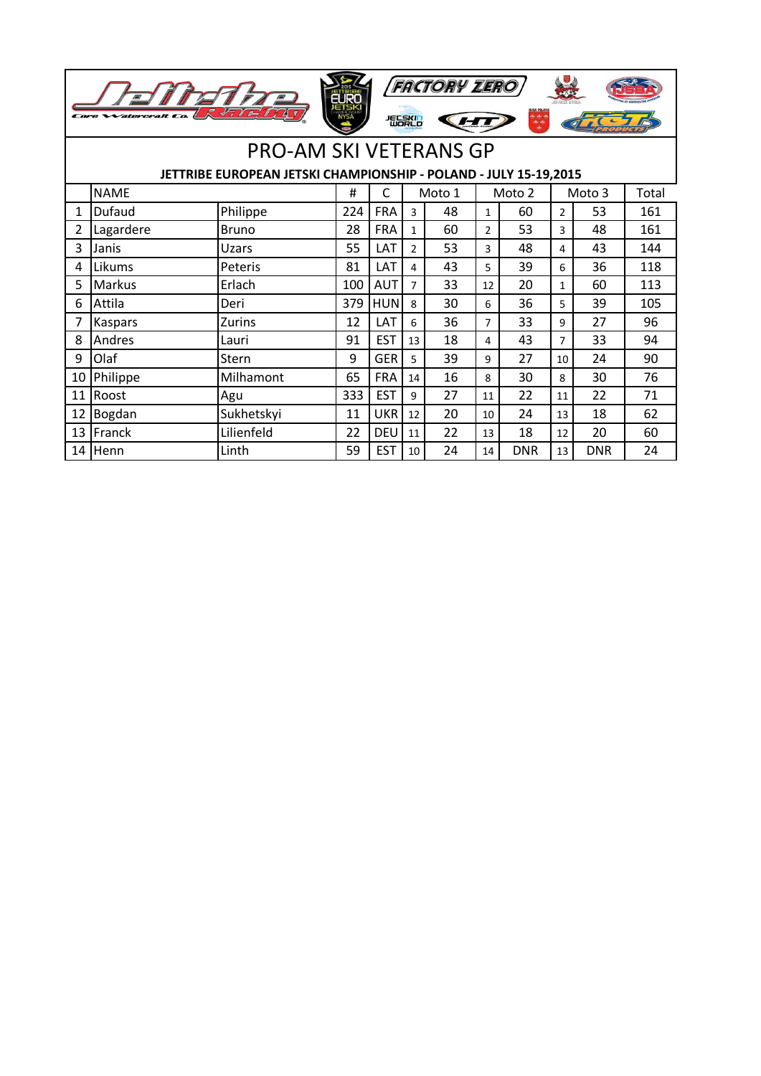|    |             |                                                                  |     |            | 怎能的            | <b>FACTORY ZERO</b> |                | و چې ده<br>خوان |                |            |     |
|----|-------------|------------------------------------------------------------------|-----|------------|----------------|---------------------|----------------|-----------------|----------------|------------|-----|
|    |             | <b>PRO-AM SKI VETERANS GP</b>                                    |     |            |                |                     |                |                 |                |            |     |
|    |             | JETTRIBE EUROPEAN JETSKI CHAMPIONSHIP - POLAND - JULY 15-19,2015 |     |            |                |                     |                |                 |                |            |     |
|    | <b>NAME</b> | #                                                                | C   |            | Moto 1         | Moto 2              |                | Moto 3          |                | Total      |     |
| 1  | Dufaud      | Philippe                                                         | 224 | <b>FRA</b> | 3              | 48                  | $\mathbf{1}$   | 60              | $\overline{2}$ | 53         | 161 |
| 2  | Lagardere   | <b>Bruno</b>                                                     | 28  | <b>FRA</b> | $\mathbf{1}$   | 60                  | $\overline{2}$ | 53              | 3              | 48         | 161 |
| 3  | Janis       | Uzars                                                            | 55  | LAT        | $\overline{2}$ | 53                  | 3              | 48              | 4              | 43         | 144 |
| 4  | Likums      | Peteris                                                          | 81  | LAT        | 4              | 43                  | 5              | 39              | 6              | 36         | 118 |
| 5  | Markus      | Erlach                                                           | 100 | <b>AUT</b> | $\overline{7}$ | 33                  | 12             | 20              | $\mathbf{1}$   | 60         | 113 |
| 6  | Attila      | Deri                                                             | 379 | <b>HUN</b> | 8              | 30                  | 6              | 36              | 5              | 39         | 105 |
| 7  | Kaspars     | <b>Zurins</b>                                                    | 12  | LAT        | 6              | 36                  | $\overline{7}$ | 33              | 9              | 27         | 96  |
| 8  | Andres      | Lauri                                                            | 91  | <b>EST</b> | 13             | 18                  | 4              | 43              | $\overline{7}$ | 33         | 94  |
| 9  | Olaf        | Stern                                                            | 9   | <b>GER</b> | 5              | 39                  | 9              | 27              | 10             | 24         | 90  |
| 10 | Philippe    | Milhamont                                                        | 65  | <b>FRA</b> | 14             | 16                  | 8              | 30              | 8              | 30         | 76  |
| 11 | Roost       | Agu                                                              | 333 | <b>EST</b> | 9              | 27                  | 11             | 22              | 11             | 22         | 71  |
| 12 | Bogdan      | Sukhetskyi                                                       | 11  | <b>UKR</b> | 12             | 20                  | 10             | 24              | 13             | 18         | 62  |
| 13 | Franck      | Lilienfeld                                                       | 22  | <b>DEU</b> | 11             | 22                  | 13             | 18              | 12             | 20         | 60  |
| 14 | Henn        | Linth                                                            | 59  | <b>EST</b> | 10             | 24                  | 14             | <b>DNR</b>      | 13             | <b>DNR</b> | 24  |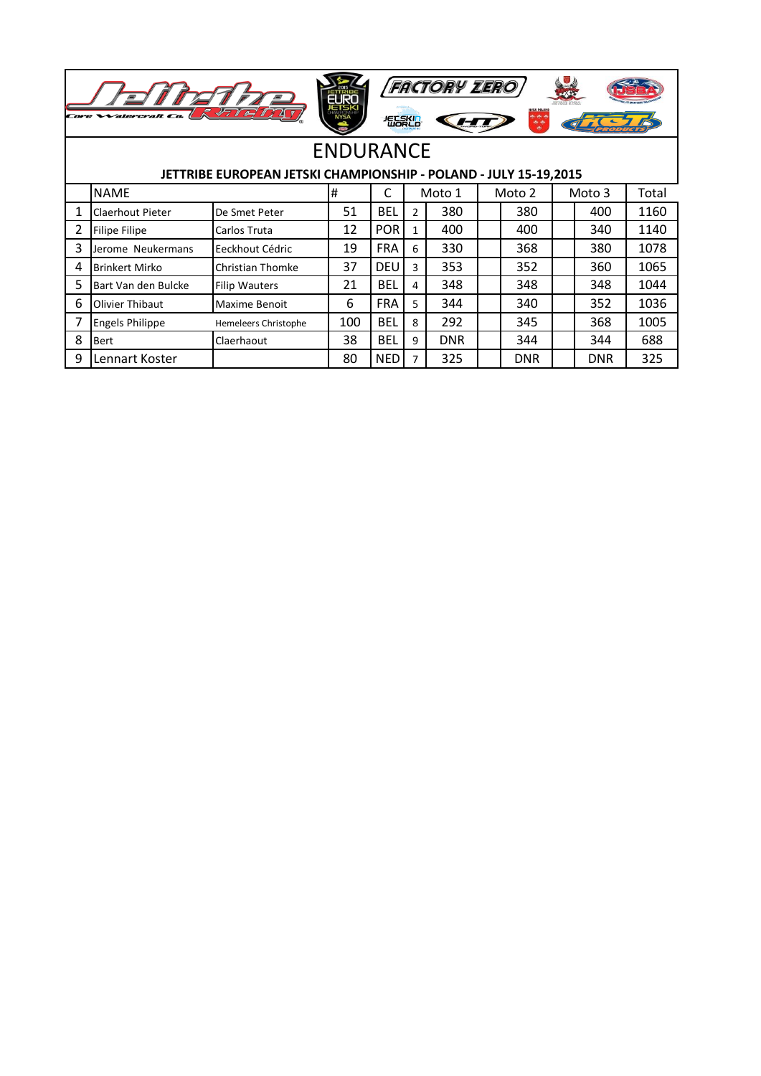| <b>FACTORY ZERO</b><br>EURO<br><b>IYSA POLANI</b><br>R VII OJ I<br>Core Watercraft Co.<br><b>地震化</b><br>$\frac{1}{2}$ |                                                                  |                             |     |            |                |            |  |            |  |            |       |
|-----------------------------------------------------------------------------------------------------------------------|------------------------------------------------------------------|-----------------------------|-----|------------|----------------|------------|--|------------|--|------------|-------|
| <b>ENDURANCE</b>                                                                                                      |                                                                  |                             |     |            |                |            |  |            |  |            |       |
|                                                                                                                       | JETTRIBE EUROPEAN JETSKI CHAMPIONSHIP - POLAND - JULY 15-19,2015 |                             |     |            |                |            |  |            |  |            |       |
|                                                                                                                       | <b>NAME</b>                                                      |                             | #   | C          |                | Moto 1     |  | Moto 2     |  | Moto 3     | Total |
|                                                                                                                       | Claerhout Pieter                                                 | De Smet Peter               | 51  | <b>BEL</b> | $\overline{2}$ | 380        |  | 380        |  | 400        | 1160  |
| 2                                                                                                                     | Filipe Filipe                                                    | Carlos Truta                | 12  | <b>POR</b> | 1              | 400        |  | 400        |  | 340        | 1140  |
| 3                                                                                                                     | Jerome Neukermans                                                | Eeckhout Cédric             | 19  | <b>FRA</b> | 6              | 330        |  | 368        |  | 380        | 1078  |
| 4                                                                                                                     | <b>Brinkert Mirko</b>                                            | Christian Thomke            | 37  | <b>DEU</b> | 3              | 353        |  | 352        |  | 360        | 1065  |
| 5                                                                                                                     | Bart Van den Bulcke                                              | <b>Filip Wauters</b>        | 21  | <b>BEL</b> | 4              | 348        |  | 348        |  | 348        | 1044  |
| 6                                                                                                                     | Olivier Thibaut                                                  | Maxime Benoit               | 6   | <b>FRA</b> | 5              | 344        |  | 340        |  | 352        | 1036  |
|                                                                                                                       | <b>Engels Philippe</b>                                           | <b>Hemeleers Christophe</b> | 100 | <b>BEL</b> | 8              | 292        |  | 345        |  | 368        | 1005  |
| 8                                                                                                                     | Bert                                                             | Claerhaout                  | 38  | <b>BEL</b> | 9              | <b>DNR</b> |  | 344        |  | 344        | 688   |
| 9                                                                                                                     | Lennart Koster                                                   |                             | 80  | <b>NED</b> |                | 325        |  | <b>DNR</b> |  | <b>DNR</b> | 325   |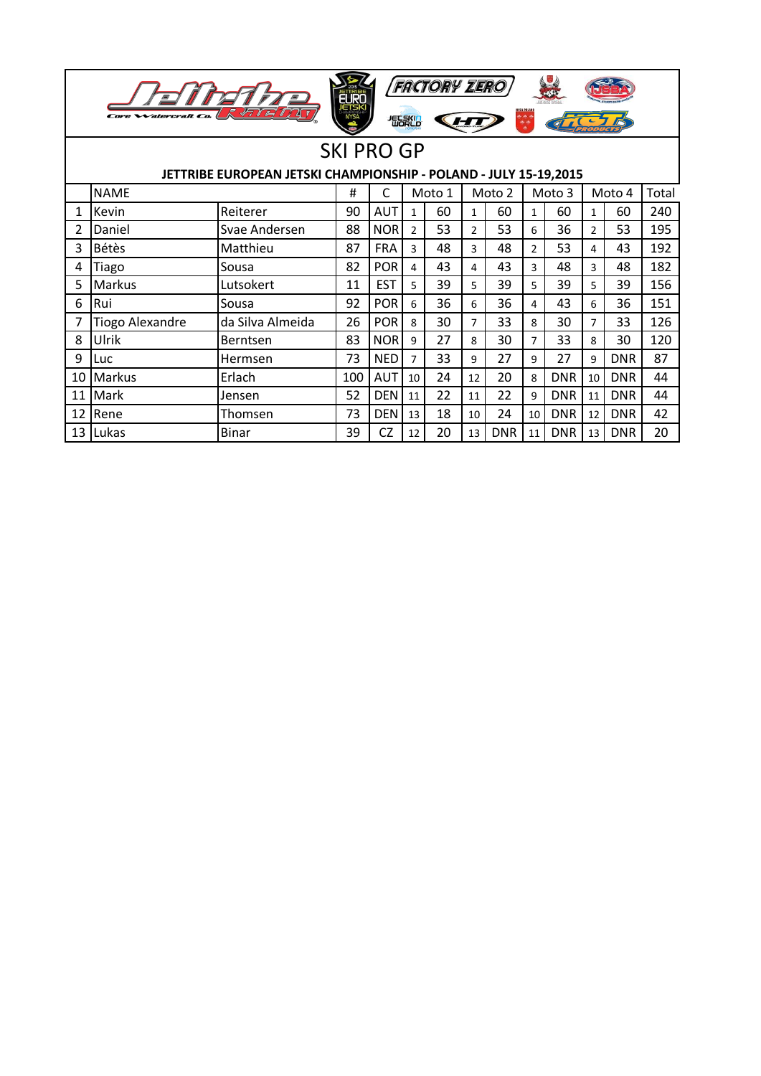| <b>FACTORY ZERO</b><br>EURO<br><b>JETSKI</b><br>NYSA<br>77777<br>Watercraft C<br>怎么呢 |                        |                  |     |            |                |        |                |            |                |            |                |            |       |
|--------------------------------------------------------------------------------------|------------------------|------------------|-----|------------|----------------|--------|----------------|------------|----------------|------------|----------------|------------|-------|
| <b>SKI PRO GP</b>                                                                    |                        |                  |     |            |                |        |                |            |                |            |                |            |       |
| JETTRIBE EUROPEAN JETSKI CHAMPIONSHIP - POLAND - JULY 15-19,2015                     |                        |                  |     |            |                |        |                |            |                |            |                |            |       |
|                                                                                      | <b>NAME</b>            |                  | #   | C          |                | Moto 1 |                | Moto 2     |                | Moto 3     |                | Moto 4     | Total |
| 1                                                                                    | Kevin                  | Reiterer         | 90  | AUT        | $\mathbf{1}$   | 60     | $\mathbf{1}$   | 60         | $\mathbf{1}$   | 60         | $\mathbf{1}$   | 60         | 240   |
| 2                                                                                    | Daniel                 | Svae Andersen    | 88  | <b>NOR</b> | $\overline{2}$ | 53     | 2              | 53         | 6              | 36         | $\overline{2}$ | 53         | 195   |
| 3                                                                                    | <b>Bétès</b>           | Matthieu         | 87  | <b>FRA</b> | 3              | 48     | 3              | 48         | $\overline{2}$ | 53         | 4              | 43         | 192   |
| 4                                                                                    | Tiago                  | Sousa            | 82  | <b>POR</b> | 4              | 43     | 4              | 43         | 3              | 48         | 3              | 48         | 182   |
| 5                                                                                    | <b>Markus</b>          | Lutsokert        | 11  | <b>EST</b> | 5              | 39     | 5.             | 39         | 5              | 39         | 5              | 39         | 156   |
| 6                                                                                    | Rui                    | Sousa            | 92  | <b>POR</b> | 6              | 36     | 6              | 36         | 4              | 43         | 6              | 36         | 151   |
|                                                                                      | <b>Tiogo Alexandre</b> | da Silva Almeida | 26  | <b>POR</b> | 8              | 30     | $\overline{7}$ | 33         | 8              | 30         | $\overline{7}$ | 33         | 126   |
| 8                                                                                    | Ulrik                  | Berntsen         | 83  | <b>NOR</b> | 9              | 27     | 8              | 30         | $\overline{7}$ | 33         | 8              | 30         | 120   |
| 9                                                                                    | Luc                    | Hermsen          | 73  | <b>NED</b> | $\overline{7}$ | 33     | 9              | 27         | 9              | 27         | 9              | <b>DNR</b> | 87    |
| 10                                                                                   | Markus                 | Erlach           | 100 | AUT        | 10             | 24     | 12             | 20         | 8              | <b>DNR</b> | 10             | <b>DNR</b> | 44    |
| 11                                                                                   | <b>Mark</b>            | Jensen           | 52  | <b>DEN</b> | 11             | 22     | 11             | 22         | 9              | <b>DNR</b> | 11             | <b>DNR</b> | 44    |
| 12                                                                                   | Rene                   | Thomsen          | 73  | <b>DEN</b> | 13             | 18     | 10             | 24         | 10             | <b>DNR</b> | 12             | <b>DNR</b> | 42    |
| 13                                                                                   | <b>Lukas</b>           | <b>Binar</b>     | 39  | <b>CZ</b>  | 12             | 20     | 13             | <b>DNR</b> | 11             | <b>DNR</b> | 13             | <b>DNR</b> | 20    |